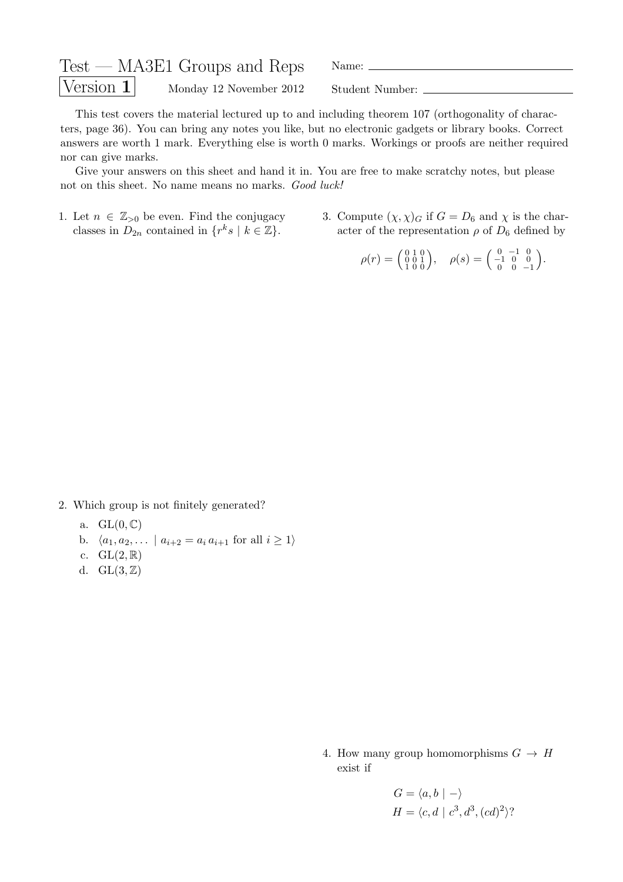| $Test - MASE1$ Groups and Reps |                         | Name:           |
|--------------------------------|-------------------------|-----------------|
| $\sqrt{\text{Version 1}}$      | Monday 12 November 2012 | Student Number: |

This test covers the material lectured up to and including theorem 107 (orthogonality of characters, page 36). You can bring any notes you like, but no electronic gadgets or library books. Correct answers are worth 1 mark. Everything else is worth 0 marks. Workings or proofs are neither required nor can give marks.

Give your answers on this sheet and hand it in. You are free to make scratchy notes, but please not on this sheet. No name means no marks. Good luck!

- 1. Let  $n \in \mathbb{Z}_{>0}$  be even. Find the conjugacy classes in  $D_{2n}$  contained in  $\{r^k s \mid k \in \mathbb{Z}\}.$
- 3. Compute  $(\chi, \chi)_{G}$  if  $G = D_6$  and  $\chi$  is the character of the representation  $\rho$  of  $D_6$  defined by

 $\rho(r) = \begin{pmatrix} 0 & 1 & 0 \\ 0 & 0 & 1 \\ 1 & 0 & 0 \end{pmatrix}, \quad \rho(s) = \begin{pmatrix} 0 & -1 & 0 \\ -1 & 0 & 0 \\ 0 & 0 & -1 \end{pmatrix}$ .

2. Which group is not finitely generated?

- a.  $GL(0,\mathbb{C})$
- b.  $\langle a_1, a_2, \dots | a_{i+2} = a_i a_{i+1}$  for all  $i \ge 1 \rangle$
- c.  $GL(2,\mathbb{R})$
- d.  $GL(3,\mathbb{Z})$

4. How many group homomorphisms  $G \to H$ exist if

$$
G = \langle a, b | - \rangle
$$
  

$$
H = \langle c, d | c^3, d^3, (cd)^2 \rangle?
$$